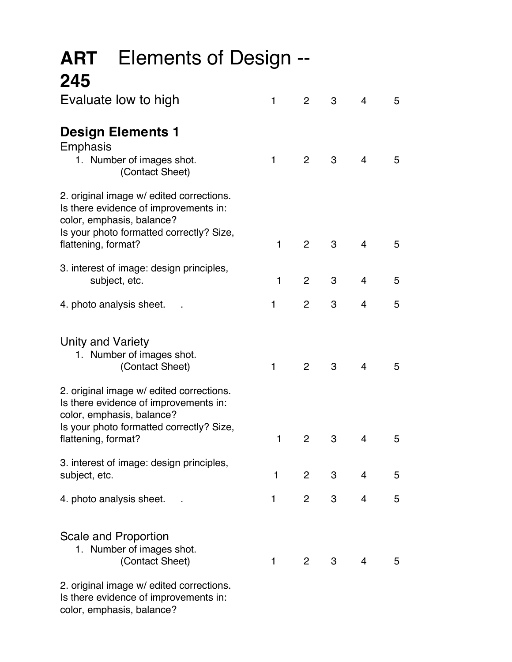| <b>ART</b> Elements of Design --<br>245                                                                                                                    |              |                |                |                |   |
|------------------------------------------------------------------------------------------------------------------------------------------------------------|--------------|----------------|----------------|----------------|---|
| Evaluate low to high                                                                                                                                       | $\mathbf{1}$ | $\overline{2}$ | 3              | $\overline{4}$ | 5 |
| <b>Design Elements 1</b><br>Emphasis                                                                                                                       |              |                |                |                |   |
| 1. Number of images shot.<br>(Contact Sheet)                                                                                                               | 1            | $\overline{2}$ | 3              | $\overline{4}$ | 5 |
| 2. original image w/ edited corrections.<br>Is there evidence of improvements in:<br>color, emphasis, balance?<br>Is your photo formatted correctly? Size, |              |                |                |                |   |
| flattening, format?                                                                                                                                        | $\mathbf{1}$ | 2              | 3              | $\overline{4}$ | 5 |
| 3. interest of image: design principles,<br>subject, etc.                                                                                                  | 1            | $\overline{2}$ | 3              | $\overline{4}$ | 5 |
| 4. photo analysis sheet.                                                                                                                                   | 1            | $\overline{2}$ | 3              | 4              | 5 |
| Unity and Variety<br>1. Number of images shot.<br>(Contact Sheet)                                                                                          | $\mathbf{1}$ | $\overline{2}$ | 3              | $\overline{4}$ | 5 |
| 2. original image w/ edited corrections.<br>Is there evidence of improvements in:<br>color, emphasis, balance?                                             |              |                |                |                |   |
| Is your photo formatted correctly? Size,<br>flattening, format?                                                                                            | 1            | $\overline{2}$ | 3              | 4              | 5 |
| 3. interest of image: design principles,<br>subject, etc.                                                                                                  | $\mathbf 1$  | $\overline{2}$ | 3 <sup>7</sup> | $\overline{4}$ | 5 |
| 4. photo analysis sheet.                                                                                                                                   | 1            | $\overline{2}$ | 3              | 4              | 5 |
| Scale and Proportion<br>1. Number of images shot.<br>(Contact Sheet)                                                                                       | $\mathbf{1}$ | $\overline{2}$ | 3              | $\overline{4}$ | 5 |
| 2. original image w/ edited corrections.<br>Is there evidence of improvements in:<br>color, emphasis, balance?                                             |              |                |                |                |   |